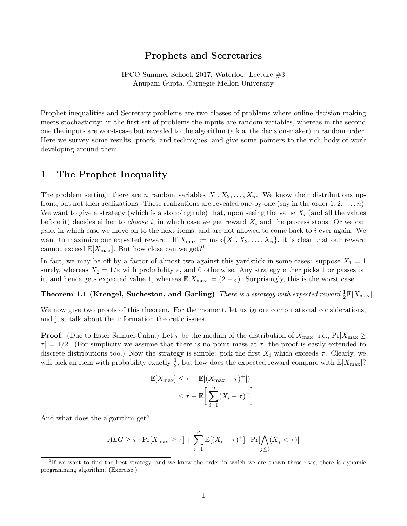## Prophets and Secretaries

IPCO Summer School, 2017, Waterloo: Lecture #3 Anupam Gupta, Carnegie Mellon University

Prophet inequalities and Secretary problems are two classes of problems where online decision-making meets stochasticity: in the first set of problems the inputs are random variables, whereas in the second one the inputs are worst-case but revealed to the algorithm (a.k.a. the decision-maker) in random order. Here we survey some results, proofs, and techniques, and give some pointers to the rich body of work developing around them.

## 1 The Prophet Inequality

The problem setting: there are n random variables  $X_1, X_2, \ldots, X_n$ . We know their distributions upfront, but not their realizations. These realizations are revealed one-by-one (say in the order  $1, 2, \ldots, n$ ). We want to give a strategy (which is a stopping rule) that, upon seeing the value  $X_i$  (and all the values before it) decides either to *choose* i, in which case we get reward  $X_i$  and the process stops. Or we can pass, in which case we move on to the next items, and are not allowed to come back to i ever again. We want to maximize our expected reward. If  $X_{\text{max}} := \max\{X_1, X_2, \ldots, X_n\}$ , it is clear that our reward cannot exceed  $\mathbb{E}[X_{\text{max}}]$ . But how close can we get?<sup>[1](#page-0-0)</sup>

In fact, we may be off by a factor of almost two against this yardstick in some cases: suppose  $X_1 = 1$ surely, whereas  $X_2 = 1/\varepsilon$  with probability  $\varepsilon$ , and 0 otherwise. Any strategy either picks 1 or passes on it, and hence gets expected value 1, whereas  $\mathbb{E}[X_{\text{max}}] = (2 - \varepsilon)$ . Surprisingly, this is the worst case.

<span id="page-0-1"></span>Theorem 1.1 (Krengel, Sucheston, and Garling) *There is a strategy with expected reward*  $\frac{1}{2} \mathbb{E}[X_{\text{max}}]$ .

We now give two proofs of this theorem. For the moment, let us ignore computational considerations, and just talk about the information theoretic issues.

**Proof.** (Due to Ester Samuel-Cahn.) Let  $\tau$  be the median of the distribution of  $X_{\text{max}}$ : i.e.,  $Pr[X_{\text{max}} \geq$  $\tau$  = 1/2. (For simplicity we assume that there is no point mass at  $\tau$ , the proof is easily extended to discrete distributions too.) Now the strategy is simple: pick the first  $X_i$  which exceeds  $\tau$ . Clearly, we will pick an item with probability exactly  $\frac{1}{2}$ , but how does the expected reward compare with  $\mathbb{E}[X_{\text{max}}]$ ?

$$
\mathbb{E}[X_{\max}] \leq \tau + \mathbb{E}[(X_{\max} - \tau)^{+}])
$$
  

$$
\leq \tau + \mathbb{E}\bigg[\sum_{i=1}^{n} (X_{i} - \tau)^{+}\bigg].
$$

And what does the algorithm get?

$$
ALG \geq \tau \cdot \Pr[X_{\max} \geq \tau] + \sum_{i=1}^{n} \mathbb{E}[(X_i - \tau)^+] \cdot \Pr[\bigwedge_{j \leq i} (X_j < \tau)]
$$

<span id="page-0-0"></span><sup>&</sup>lt;sup>1</sup>If we want to find the best strategy, and we know the order in which we are shown these r.v.s, there is dynamic programming algorithm. (Exercise!)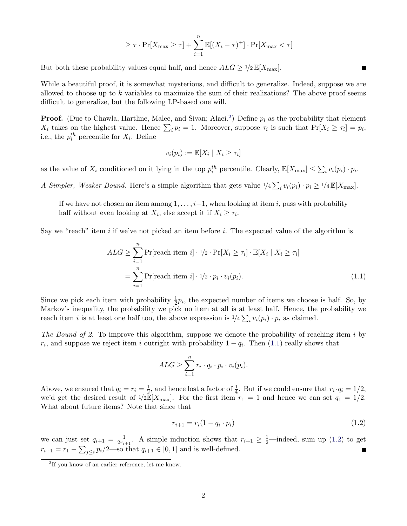$$
\geq \tau \cdot \Pr[X_{\max} \geq \tau] + \sum_{i=1}^{n} \mathbb{E}[(X_i - \tau)^+] \cdot \Pr[X_{\max} < \tau]
$$

But both these probability values equal half, and hence  $ALG \geq 1/2 \mathbb{E}[X_{\text{max}}]$ .

While a beautiful proof, it is somewhat mysterious, and difficult to generalize. Indeed, suppose we are allowed to choose up to  $k$  variables to maximize the sum of their realizations? The above proof seems difficult to generalize, but the following LP-based one will.

**Proof.** (Due to Chawla, Hartline, Malec, and Sivan; Alaei.<sup>[2](#page-1-0)</sup>) Define  $p_i$  as the probability that element  $X_i$  takes on the highest value. Hence  $\sum_i p_i = 1$ . Moreover, suppose  $\tau_i$  is such that  $Pr[X_i \geq \tau_i] = p_i$ , i.e., the  $p_i^{th}$  percentile for  $X_i$ . Define

$$
v_i(p_i) := \mathbb{E}[X_i \mid X_i \geq \tau_i]
$$

as the value of  $X_i$  conditioned on it lying in the top  $p_i^{th}$  percentile. Clearly,  $\mathbb{E}[X_{\text{max}}] \leq \sum_i v_i(p_i) \cdot p_i$ .

A Simpler, Weaker Bound. Here's a simple algorithm that gets value  $1/4 \sum_i v_i(p_i) \cdot p_i \ge 1/4 \mathbb{E}[X_{\text{max}}]$ .

If we have not chosen an item among  $1, \ldots, i-1$ , when looking at item i, pass with probability half without even looking at  $X_i$ , else accept it if  $X_i \geq \tau_i$ .

Say we "reach" item  $i$  if we've not picked an item before  $i$ . The expected value of the algorithm is

$$
ALG \geq \sum_{i=1}^{n} \Pr[\text{reach item } i] \cdot 1/2 \cdot \Pr[X_i \geq \tau_i] \cdot \mathbb{E}[X_i \mid X_i \geq \tau_i]
$$

$$
= \sum_{i=1}^{n} \Pr[\text{reach item } i] \cdot 1/2 \cdot p_i \cdot v_i(p_i). \tag{1.1}
$$

Since we pick each item with probability  $\frac{1}{2}p_i$ , the expected number of items we choose is half. So, by Markov's inequality, the probability we pick no item at all is at least half. Hence, the probability we reach item *i* is at least one half too, the above expression is  $1/4 \sum_i v_i(p_i) \cdot p_i$  as claimed.

The Bound of 2. To improve this algorithm, suppose we denote the probability of reaching item i by  $r_i$ , and suppose we reject item i outright with probability  $1 - q_i$ . Then [\(1.1\)](#page-1-1) really shows that

<span id="page-1-1"></span>
$$
ALG \geq \sum_{i=1}^{n} r_i \cdot q_i \cdot p_i \cdot v_i(p_i).
$$

Above, we ensured that  $q_i = r_i = \frac{1}{2}$  $\frac{1}{2}$ , and hence lost a factor of  $\frac{1}{4}$ . But if we could ensure that  $r_i \cdot q_i = 1/2$ , we'd get the desired result of  $1/2\mathbb{E}[X_{\text{max}}]$ . For the first item  $r_1 = 1$  and hence we can set  $q_1 = 1/2$ . What about future items? Note that since that

<span id="page-1-2"></span>
$$
r_{i+1} = r_i(1 - q_i \cdot p_i) \tag{1.2}
$$

we can just set  $q_{i+1} = \frac{1}{2r_i}$  $\frac{1}{2r_{i+1}}$ . A simple induction shows that  $r_{i+1} \geq \frac{1}{2}$ —indeed, sum up [\(1.2\)](#page-1-2) to get  $r_{i+1} = r_1 - \sum_{j \leq i} p_i/2$ —so that  $q_{i+1} \in [0,1]$  and is well-defined.

<span id="page-1-0"></span><sup>2</sup> If you know of an earlier reference, let me know.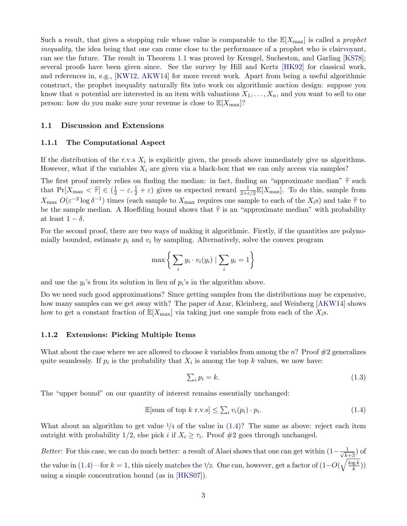Such a result, that gives a stopping rule whose value is comparable to the  $\mathbb{E}[X_{\text{max}}]$  is called a *prophet* inequality, the idea being that one can come close to the performance of a prophet who is clairvoyant, can see the future. The result in Theorem [1.1](#page-0-1) was proved by Krengel, Sucheston, and Garling [\[KS78\]](#page-9-0); several proofs have been given since. See the survey by Hill and Kertz [\[HK92\]](#page-8-0) for classical work, and references in, e.g., [\[KW12,](#page-9-1) [AKW14\]](#page-8-1) for more recent work. Apart from being a useful algorithmic construct, the prophet inequality naturally fits into work on algorithmic auction design: suppose you know that n potential are interested in an item with valuations  $X_1, \ldots, X_n$ , and you want to sell to one person: how do you make sure your revenue is close to  $\mathbb{E}[X_{\max}]$ ?

## 1.1 Discussion and Extensions

#### 1.1.1 The Computational Aspect

If the distribution of the r.v.s  $X_i$  is explicitly given, the proofs above immediately give us algorithms. However, what if the variables  $X_i$  are given via a black-box that we can only access via samples?

The first proof merely relies on finding the median: in fact, finding an "approximate median"  $\hat{\tau}$  such that  $Pr[X_{\text{max}} < \hat{\tau}] \in (\frac{1}{2} - \varepsilon, \frac{1}{2} + \varepsilon)$  gives us expected reward  $\frac{1}{2+\varepsilon/2} \mathbb{E}[X_{\text{max}}]$ . To do this, sample from  $X_{\text{max}} O(\varepsilon^{-2} \log \delta^{-1})$  times (each sample to  $X_{\text{max}}$  requires one sample to each of the  $X_i$ s) and take  $\hat{\tau}$  to to the sample modes. A Hooffding bound shows that  $\hat{\hat{\tau}}$  is an "enproximate modes" with probability be the sample median. A Hoeffding bound shows that  $\hat{\tau}$  is an "approximate median" with probability at least  $1 - \delta$ .

For the second proof, there are two ways of making it algorithmic. Firstly, if the quantities are polynomially bounded, estimate  $p_i$  and  $v_i$  by sampling. Alternatively, solve the convex program

$$
\max\bigg\{\sum_i y_i \cdot v_i(y_i) \mid \sum_i y_i = 1\bigg\}
$$

and use the  $y_i$ 's from its solution in lieu of  $p_i$ 's in the algorithm above.

Do we need such good approximations? Since getting samples from the distributions may be expensive, how many samples can we get away with? The paper of Azar, Kleinberg, and Weinberg [\[AKW14\]](#page-8-1) shows how to get a constant fraction of  $\mathbb{E}[X_{\text{max}}]$  via taking just one sample from each of the  $X_i$ s.

#### 1.1.2 Extensions: Picking Multiple Items

What about the case where we are allowed to choose k variables from among the n? Proof  $\#2$  generalizes quite seamlessly. If  $p_i$  is the probability that  $X_i$  is among the top k values, we now have:

<span id="page-2-0"></span>
$$
\sum_{i} p_i = k. \tag{1.3}
$$

The "upper bound" on our quantity of interest remains essentially unchanged:

$$
\mathbb{E}[\text{sum of top } k \text{ r.v.s}] \le \sum_{i} v_i(p_i) \cdot p_i. \tag{1.4}
$$

What about an algorithm to get value  $\frac{1}{4}$  of the value in  $(1.4)$ ? The same as above: reject each item outright with probability 1/2, else pick *i* if  $X_i \geq \tau_i$ . Proof #2 goes through unchanged.

Better: For this case, we can do much better: a result of Alaei shows that one can get within  $(1 - \frac{1}{\sqrt{k+3}})$  of the value in [\(1.4\)](#page-2-0)—for  $k = 1$ , this nicely matches the 1/2. One can, however, get a factor of  $(1 - O(\sqrt{\frac{\log k}{k}}))$  $\frac{g k}{k})$ using a simple concentration bound (as in [\[HKS07\]](#page-8-2)).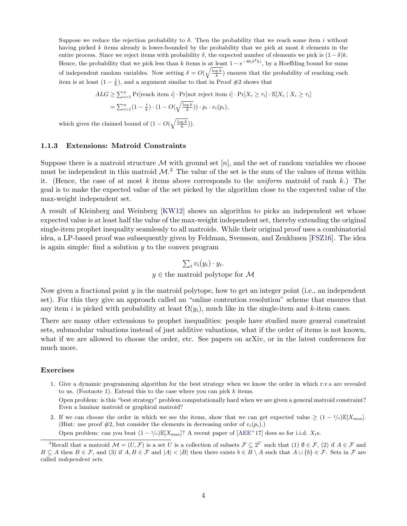Suppose we reduce the rejection probability to  $\delta$ . Then the probability that we reach some item i without having picked  $k$  items already is lower-bounded by the probability that we pick at most  $k$  elements in the entire process. Since we reject items with probability  $\delta$ , the expected number of elements we pick is  $(1 - \delta)k$ . Hence, the probability that we pick less than k items is at least  $1 - e^{-\Theta(\delta^2 k)}$ , by a Hoeffding bound for sums of independent random variables. Now setting  $\delta = O(\sqrt{\frac{\log k}{k}})$  ensures that the probability of reaching each item is at least  $(1 - \frac{1}{k})$ , and a argument similar to that in Proof #2 shows that

$$
ALG \ge \sum_{i=1}^{n} \Pr[\text{reach item } i] \cdot \Pr[\text{not reject item } i] \cdot \Pr[X_i \ge \tau_i] \cdot \mathbb{E}[X_i \mid X_i \ge \tau_i]
$$

$$
= \sum_{i=1}^{n} (1 - \frac{1}{k}) \cdot (1 - O(\sqrt{\frac{\log k}{k}})) \cdot p_i \cdot v_i(p_i),
$$

which gives the claimed bound of  $(1 - O(\sqrt{\frac{\log k}{k}})).$ 

## 1.1.3 Extensions: Matroid Constraints

Even a laminar matroid or graphical matroid?

Suppose there is a matroid structure M with ground set  $[n]$ , and the set of random variables we choose must be independent in this matroid  $\mathcal{M}$ <sup>[3](#page-3-0)</sup>. The value of the set is the sum of the values of items within it. (Hence, the case of at most  $k$  items above corresponds to the *uniform* matroid of rank  $k$ .) The goal is to make the expected value of the set picked by the algorithm close to the expected value of the max-weight independent set.

A result of Kleinberg and Weinberg [\[KW12\]](#page-9-1) shows an algorithm to picks an independent set whose expected value is at least half the value of the max-weight independent set, thereby extending the original single-item prophet inequality seamlessly to all matroids. While their original proof uses a combinatorial idea, a LP-based proof was subsequently given by Feldman, Svensson, and Zenklusen [\[FSZ16\]](#page-8-3). The idea is again simple: find a solution  $y$  to the convex program

$$
\sum_{i} v_i(y_i) \cdot y_i.
$$
  
 $y \in$  the matroid polytope for M

Now given a fractional point  $y$  in the matroid polytope, how to get an integer point (i.e., an independent set). For this they give an approach called an "online contention resolution" scheme that ensures that any item i is picked with probability at least  $\Omega(y_i)$ , much like in the single-item and k-item cases.

There are many other extensions to prophet inequalities: people have studied more general constraint sets, submodular valuations instead of just additive valuations, what if the order of items is not known, what if we are allowed to choose the order, etc. See papers on arXiv, or in the latest conferences for much more.

#### Exercises

- 1. Give a dynamic programming algorithm for the best strategy when we know the order in which r.v.s are revealed to us. (Footnote 1). Extend this to the case where you can pick k items. Open problem: is this "best strategy" problem computationally hard when we are given a general matroid constraint?
- 2. If we can choose the order in which we see the items, show that we can get expected value  $\geq (1 1/e)\mathbb{E}[X_{\text{max}}]$ . (Hint: use proof  $#2$ , but consider the elements in decreasing order of  $v_i(p_i)$ .)

Open problem: can you beat  $(1 - \frac{1}{e})\mathbb{E}[X_{\text{max}}]$ ? A recent paper of  $[AEE^+17]$  $[AEE^+17]$  does so for i.i.d.  $X_i$ s.

<span id="page-3-0"></span><sup>&</sup>lt;sup>3</sup>Recall that a matroid  $\mathcal{M} = (U, \mathcal{F})$  is a set U is a collection of subsets  $\mathcal{F} \subseteq 2^U$  such that  $(1) \emptyset \in \mathcal{F}$ ,  $(2)$  if  $A \in \mathcal{F}$  and  $B \subseteq A$  then  $B \in \mathcal{F}$ , and (3) if  $A, B \in \mathcal{F}$  and  $|A| < |B|$  then there exists  $b \in B \setminus A$  such that  $A \cup \{b\} \in \mathcal{F}$ . Sets in  $\mathcal{F}$  are called independent sets.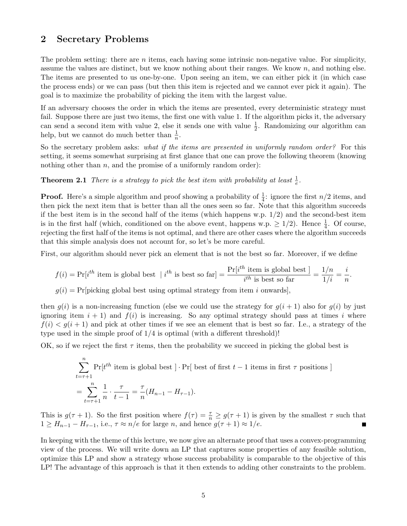## 2 Secretary Problems

The problem setting: there are *n* items, each having some intrinsic non-negative value. For simplicity, assume the values are distinct, but we know nothing about their ranges. We know  $n$ , and nothing else. The items are presented to us one-by-one. Upon seeing an item, we can either pick it (in which case the process ends) or we can pass (but then this item is rejected and we cannot ever pick it again). The goal is to maximize the probability of picking the item with the largest value.

If an adversary chooses the order in which the items are presented, every deterministic strategy must fail. Suppose there are just two items, the first one with value 1. If the algorithm picks it, the adversary can send a second item with value 2, else it sends one with value  $\frac{1}{2}$ . Randomizing our algorithm can help, but we cannot do much better than  $\frac{1}{n}$ .

So the secretary problem asks: what if the items are presented in uniformly random order? For this setting, it seems somewhat surprising at first glance that one can prove the following theorem (knowing nothing other than  $n$ , and the promise of a uniformly random order):

**Theorem 2.1** There is a strategy to pick the best item with probability at least  $\frac{1}{e}$ .

**Proof.** Here's a simple algorithm and proof showing a probability of  $\frac{1}{4}$ : ignore the first  $n/2$  items, and then pick the next item that is better than all the ones seen so far. Note that this algorithm succeeds if the best item is in the second half of the items (which happens w.p.  $1/2$ ) and the second-best item is in the first half (which, conditioned on the above event, happens w.p.  $\geq 1/2$ ). Hence  $\frac{1}{4}$ . Of course, rejecting the first half of the items is not optimal, and there are other cases where the algorithm succeeds that this simple analysis does not account for, so let's be more careful.

First, our algorithm should never pick an element that is not the best so far. Moreover, if we define

$$
f(i) = \Pr[i^{th} \text{ item is global best } | i^{th} \text{ is best so far}] = \frac{\Pr[i^{th} \text{ item is global best }]}{i^{th} \text{ is best so far}} = \frac{1/n}{1/i} = \frac{i}{n}.
$$

 $g(i) = Pr[picking global best using optimal strategy from item i onwards],$ 

then  $g(i)$  is a non-increasing function (else we could use the strategy for  $g(i + 1)$  also for  $g(i)$  by just ignoring item  $i + 1$ ) and  $f(i)$  is increasing. So any optimal strategy should pass at times i where  $f(i) < g(i+1)$  and pick at other times if we see an element that is best so far. I.e., a strategy of the type used in the simple proof of  $1/4$  is optimal (with a different threshold)!

OK, so if we reject the first  $\tau$  items, then the probability we succeed in picking the global best is

$$
\sum_{t=\tau+1}^{n} \Pr[t^{th} \text{ item is global best } ] \cdot \Pr[\text{ best of first } t-1 \text{ items in first } \tau \text{ positions } ]
$$

$$
= \sum_{t=\tau+1}^{n} \frac{1}{n} \cdot \frac{\tau}{t-1} = \frac{\tau}{n} (H_{n-1} - H_{\tau-1}).
$$

This is  $g(\tau+1)$ . So the first position where  $f(\tau) = \frac{\tau}{n} \geq g(\tau+1)$  is given by the smallest  $\tau$  such that  $1 \geq H_{n-1} - H_{\tau-1}$ , i.e.,  $\tau \approx n/e$  for large n, and hence  $g(\tau+1) \approx 1/e$ .

In keeping with the theme of this lecture, we now give an alternate proof that uses a convex-programming view of the process. We will write down an LP that captures some properties of any feasible solution, optimize this LP and show a strategy whose success probability is comparable to the objective of this LP! The advantage of this approach is that it then extends to adding other constraints to the problem.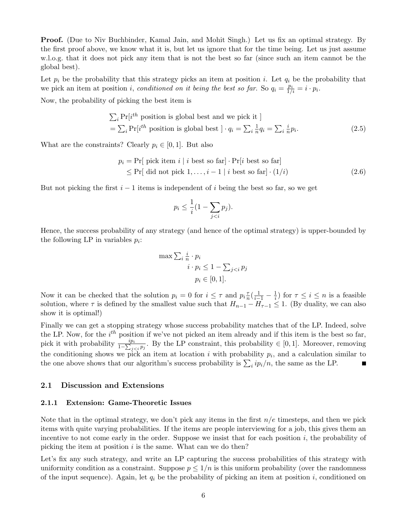Proof. (Due to Niv Buchbinder, Kamal Jain, and Mohit Singh.) Let us fix an optimal strategy. By the first proof above, we know what it is, but let us ignore that for the time being. Let us just assume w.l.o.g. that it does not pick any item that is not the best so far (since such an item cannot be the global best).

Let  $p_i$  be the probability that this strategy picks an item at position i. Let  $q_i$  be the probability that we pick an item at position *i*, conditioned on it being the best so far. So  $q_i = \frac{p_i}{1/i} = i \cdot p_i$ .

Now, the probability of picking the best item is

$$
\sum_{i} \Pr[i^{th} \text{ position is global best and we pick it}]
$$
  
= 
$$
\sum_{i} \Pr[i^{th} \text{ position is global best}] \cdot q_i = \sum_{i} \frac{1}{n} q_i = \sum_{i} \frac{i}{n} p_i.
$$
 (2.5)

What are the constraints? Clearly  $p_i \in [0, 1]$ . But also

$$
p_i = \Pr[\text{ pick item } i \mid i \text{ best so far}] \cdot \Pr[i \text{ best so far}]
$$
  
 
$$
\leq \Pr[\text{ did not pick } 1, \dots, i - 1 \mid i \text{ best so far}] \cdot (1/i) \tag{2.6}
$$

But not picking the first  $i - 1$  items is independent of i being the best so far, so we get

<span id="page-5-1"></span><span id="page-5-0"></span>
$$
p_i \leq \frac{1}{i} \left(1 - \sum_{j < i} p_j\right).
$$

Hence, the success probability of any strategy (and hence of the optimal strategy) is upper-bounded by the following LP in variables  $p_i$ :

$$
\max \sum_{i} \frac{i}{n} \cdot p_i
$$
  

$$
i \cdot p_i \le 1 - \sum_{j < i} p_j
$$
  

$$
p_i \in [0, 1].
$$

Now it can be checked that the solution  $p_i = 0$  for  $i \leq \tau$  and  $p_i \frac{\tau}{n}$  $\frac{\tau}{n}(\frac{1}{i-1} - \frac{1}{i})$  $(\frac{1}{i})$  for  $\tau \leq i \leq n$  is a feasible solution, where  $\tau$  is defined by the smallest value such that  $H_{n-1} - H_{\tau-1} \leq 1$ . (By duality, we can also show it is optimal!)

Finally we can get a stopping strategy whose success probability matches that of the LP. Indeed, solve the LP. Now, for the  $i^{th}$  position if we've not picked an item already and if this item is the best so far, pick it with probability  $\frac{ip_i}{1-\sum_{j. By the LP constraint, this probability  $\in [0,1]$ . Moreover, removing$ the conditioning shows we pick an item at location i with probability  $p_i$ , and a calculation similar to the one above shows that our algorithm's success probability is  $\sum_i i p_i/n$ , the same as the LP.  $\blacksquare$ 

### 2.1 Discussion and Extensions

#### 2.1.1 Extension: Game-Theoretic Issues

Note that in the optimal strategy, we don't pick any items in the first  $n/e$  timesteps, and then we pick items with quite varying probabilities. If the items are people interviewing for a job, this gives them an incentive to not come early in the order. Suppose we insist that for each position  $i$ , the probability of picking the item at position  $i$  is the same. What can we do then?

Let's fix any such strategy, and write an LP capturing the success probabilities of this strategy with uniformity condition as a constraint. Suppose  $p \leq 1/n$  is this uniform probability (over the randomness of the input sequence). Again, let  $q_i$  be the probability of picking an item at position i, conditioned on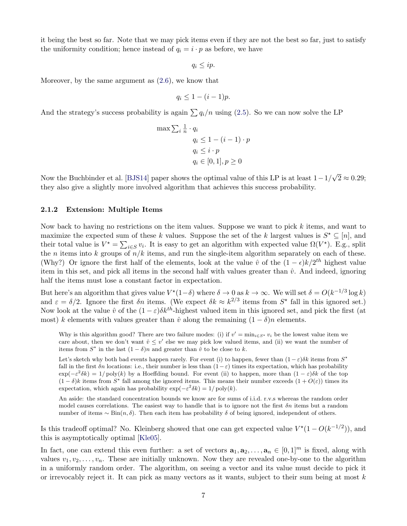it being the best so far. Note that we may pick items even if they are not the best so far, just to satisfy the uniformity condition; hence instead of  $q_i = i \cdot p$  as before, we have

 $q_i \leq ip$ .

Moreover, by the same argument as [\(2.6\)](#page-5-0), we know that

$$
q_i \leq 1 - (i - 1)p.
$$

And the strategy's success probability is again  $\sum q_i/n$  using [\(2.5\)](#page-5-1). So we can now solve the LP

$$
\max \sum_{i} \frac{1}{n} \cdot q_i
$$
  
\n
$$
q_i \le 1 - (i - 1) \cdot p
$$
  
\n
$$
q_i \le i \cdot p
$$
  
\n
$$
q_i \in [0, 1], p \ge 0
$$

Now the Buchbinder et al. [\[BJS14\]](#page-8-5) paper shows the optimal value of this LP is at least  $1 - 1/$ √  $2 \approx 0.29;$ they also give a slightly more involved algorithm that achieves this success probability.

### 2.1.2 Extension: Multiple Items

Now back to having no restrictions on the item values. Suppose we want to pick  $k$  items, and want to maximize the expected sum of these k values. Suppose the set of the k largest values is  $S^* \subseteq [n]$ , and their total value is  $V^* = \sum_{i \in S} v_i$ . It is easy to get an algorithm with expected value  $\Omega(V^*)$ . E.g., split the *n* items into *k* groups of  $n/k$  items, and run the single-item algorithm separately on each of these. (Why?) Or ignore the first half of the elements, look at the value  $\hat{v}$  of the  $(1 - \epsilon)k/2^{th}$  highest value item in this set, and pick all items in the second half with values greater than  $\hat{v}$ . And indeed, ignoring half the items must lose a constant factor in expectation.

But here's an algorithm that gives value  $V^*(1-\delta)$  where  $\delta \to 0$  as  $k \to \infty$ . We will set  $\delta = O(k^{-1/3} \log k)$ and  $\varepsilon = \delta/2$ . Ignore the first  $\delta n$  items. (We expect  $\delta k \approx k^{2/3}$  items from  $S^*$  fall in this ignored set.) Now look at the value  $\hat{v}$  of the  $(1 - \varepsilon)\delta k^{th}$ -highest valued item in this ignored set, and pick the first (at most) k elements with values greater than  $\hat{v}$  along the remaining  $(1 - \delta)n$  elements.

Why is this algorithm good? There are two failure modes: (i) if  $v' = \min_{i \in S^*} v_i$  be the lowest value item we care about, then we don't want  $\hat{v} \leq v'$  else we may pick low valued items, and (ii) we want the number of items from  $S^*$  in the last  $(1 - \delta)n$  and greater than  $\hat{v}$  to be close to k.

Let's sketch why both bad events happen rarely. For event (i) to happen, fewer than  $(1 - \varepsilon)\delta k$  items from  $S^*$ fall in the first  $\delta n$  locations: i.e., their number is less than  $(1-\varepsilon)$  times its expectation, which has probability  $\exp(-\varepsilon^2 \delta k) = 1/\text{poly}(k)$  by a Hoeffding bound. For event (ii) to happen, more than  $(1-\varepsilon)\delta k$  of the top  $(1 - \delta)k$  items from S<sup>\*</sup> fall among the ignored items. This means their number exceeds  $(1 + O(\varepsilon))$  times its expectation, which again has probability  $\exp(-\varepsilon^2 \delta k) = 1/\text{poly}(k)$ .

An aside: the standard concentration bounds we know are for sums of i.i.d. r.v.s whereas the random order model causes correlations. The easiest way to handle that is to ignore not the first  $\delta n$  items but a random number of items  $\sim$  Bin(n, δ). Then each item has probability δ of being ignored, independent of others.

Is this tradeoff optimal? No. Kleinberg showed that one can get expected value  $V^*(1 - O(k^{-1/2}))$ , and this is asymptotically optimal [\[Kle05\]](#page-9-2).

In fact, one can extend this even further: a set of vectors  $\mathbf{a}_1, \mathbf{a}_2, \ldots, \mathbf{a}_n \in [0,1]^m$  is fixed, along with values  $v_1, v_2, \ldots, v_n$ . These are initially unknown. Now they are revealed one-by-one to the algorithm in a uniformly random order. The algorithm, on seeing a vector and its value must decide to pick it or irrevocably reject it. It can pick as many vectors as it wants, subject to their sum being at most  $k$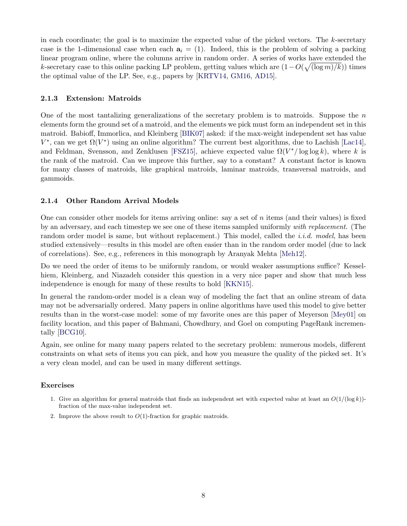in each coordinate; the goal is to maximize the expected value of the picked vectors. The  $k$ -secretary case is the 1-dimensional case when each  $a_i = (1)$ . Indeed, this is the problem of solving a packing linear program online, where the columns arrive in random order. A series of works have extended the k-secretary case to this online packing LP problem, getting values which are  $(1 - O(\sqrt{(\log m)/k}))$  times the optimal value of the LP. See, e.g., papers by [\[KRTV14,](#page-9-3) [GM16,](#page-8-6) [AD15\]](#page-8-7).

## 2.1.3 Extension: Matroids

One of the most tantalizing generalizations of the secretary problem is to matroids. Suppose the  $n$ elements form the ground set of a matroid, and the elements we pick must form an independent set in this matroid. Babioff, Immorlica, and Kleinberg [\[BIK07\]](#page-8-8) asked: if the max-weight independent set has value  $V^*$ , can we get  $\Omega(V^*)$  using an online algorithm? The current best algorithms, due to Lachish [\[Lac14\]](#page-9-4), and Feldman, Svensson, and Zenklusen [\[FSZ15\]](#page-8-9), achieve expected value  $\Omega(V^*)\log \log k$ , where k is the rank of the matroid. Can we improve this further, say to a constant? A constant factor is known for many classes of matroids, like graphical matroids, laminar matroids, transversal matroids, and gammoids.

## 2.1.4 Other Random Arrival Models

One can consider other models for items arriving online: say a set of n items (and their values) is fixed by an adversary, and each timestep we see one of these items sampled uniformly with replacement. (The random order model is same, but without replacement.) This model, called the *i.i.d. model*, has been studied extensively—results in this model are often easier than in the random order model (due to lack of correlations). See, e.g., references in this monograph by Aranyak Mehta [\[Meh12\]](#page-9-5).

Do we need the order of items to be uniformly random, or would weaker assumptions suffice? Kesselhiem, Kleinberg, and Niazadeh consider this question in a very nice paper and show that much less independence is enough for many of these results to hold [\[KKN15\]](#page-9-6).

In general the random-order model is a clean way of modeling the fact that an online stream of data may not be adversarially ordered. Many papers in online algorithms have used this model to give better results than in the worst-case model: some of my favorite ones are this paper of Meyerson [\[Mey01\]](#page-9-7) on facility location, and this paper of Bahmani, Chowdhury, and Goel on computing PageRank incrementally [\[BCG10\]](#page-8-10).

Again, see online for many many papers related to the secretary problem: numerous models, different constraints on what sets of items you can pick, and how you measure the quality of the picked set. It's a very clean model, and can be used in many different settings.

#### Exercises

- 1. Give an algorithm for general matroids that finds an independent set with expected value at least an  $O(1/(\log k))$ fraction of the max-value independent set.
- 2. Improve the above result to  $O(1)$ -fraction for graphic matroids.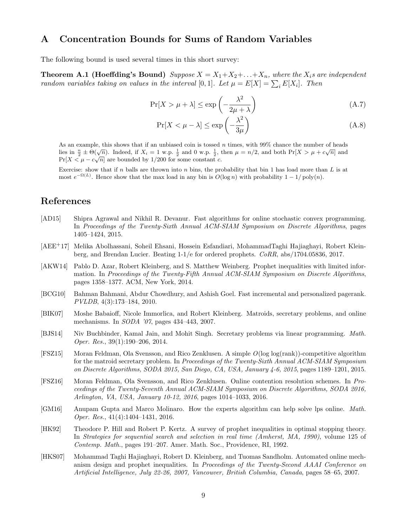## A Concentration Bounds for Sums of Random Variables

The following bound is used several times in this short survey:

**Theorem A.1 (Hoeffding's Bound)** Suppose  $X = X_1 + X_2 + \ldots + X_n$ , where the  $X_i$ s are independent random variables taking on values in the interval [0,1]. Let  $\mu = E[X] = \sum_i E[X_i]$ . Then

$$
\Pr[X > \mu + \lambda] \le \exp\left(-\frac{\lambda^2}{2\mu + \lambda}\right) \tag{A.7}
$$

$$
\Pr[X < \mu - \lambda] \le \exp\left(-\frac{\lambda^2}{3\mu}\right) \tag{A.8}
$$

As an example, this shows that if an unbiased coin is tossed n times, with 99% chance the number of heads As an example, this shows that if an unbiased coin is tossed *n* times, with 99% chance the number of heads<br>lies in  $\frac{n}{2} \pm \Theta(\sqrt{n})$ . Indeed, if  $X_i = 1$  w.p.  $\frac{1}{2}$  and 0 w.p.  $\frac{1}{2}$ , then  $\mu = n/2$ , and both  $Pr[X > \mu +$  $Pr[X \leq \mu - c\sqrt{n}]$  are bounded by 1/200 for some constant c.

Exercise: show that if n balls are thrown into n bins, the probability that bin 1 has load more than  $L$  is at most  $e^{-\Omega(L)}$ . Hence show that the max load in any bin is  $O(\log n)$  with probability  $1 - 1/\text{poly}(n)$ .

# References

- <span id="page-8-7"></span>[AD15] Shipra Agrawal and Nikhil R. Devanur. Fast algorithms for online stochastic convex programming. In Proceedings of the Twenty-Sixth Annual ACM-SIAM Symposium on Discrete Algorithms, pages 1405–1424, 2015.
- <span id="page-8-4"></span>[AEE+17] Melika Abolhassani, Soheil Ehsani, Hossein Esfandiari, MohammadTaghi Hajiaghayi, Robert Kleinberg, and Brendan Lucier. Beating 1-1/e for ordered prophets. CoRR, abs/1704.05836, 2017.
- <span id="page-8-1"></span>[AKW14] Pablo D. Azar, Robert Kleinberg, and S. Matthew Weinberg. Prophet inequalities with limited information. In Proceedings of the Twenty-Fifth Annual ACM-SIAM Symposium on Discrete Algorithms, pages 1358–1377. ACM, New York, 2014.
- <span id="page-8-10"></span>[BCG10] Bahman Bahmani, Abdur Chowdhury, and Ashish Goel. Fast incremental and personalized pagerank. PVLDB, 4(3):173–184, 2010.
- <span id="page-8-8"></span>[BIK07] Moshe Babaioff, Nicole Immorlica, and Robert Kleinberg. Matroids, secretary problems, and online mechanisms. In SODA '07, pages 434–443, 2007.
- <span id="page-8-5"></span>[BJS14] Niv Buchbinder, Kamal Jain, and Mohit Singh. Secretary problems via linear programming. Math. Oper. Res., 39(1):190–206, 2014.
- <span id="page-8-9"></span>[FSZ15] Moran Feldman, Ola Svensson, and Rico Zenklusen. A simple O(log log(rank))-competitive algorithm for the matroid secretary problem. In Proceedings of the Twenty-Sixth Annual ACM-SIAM Symposium on Discrete Algorithms, SODA 2015, San Diego, CA, USA, January 4-6, 2015, pages 1189–1201, 2015.
- <span id="page-8-3"></span>[FSZ16] Moran Feldman, Ola Svensson, and Rico Zenklusen. Online contention resolution schemes. In Proceedings of the Twenty-Seventh Annual ACM-SIAM Symposium on Discrete Algorithms, SODA 2016, Arlington, VA, USA, January 10-12, 2016, pages 1014–1033, 2016.
- <span id="page-8-6"></span>[GM16] Anupam Gupta and Marco Molinaro. How the experts algorithm can help solve lps online. Math. Oper. Res., 41(4):1404–1431, 2016.
- <span id="page-8-0"></span>[HK92] Theodore P. Hill and Robert P. Kertz. A survey of prophet inequalities in optimal stopping theory. In Strategies for sequential search and selection in real time (Amherst, MA, 1990), volume 125 of Contemp. Math., pages 191–207. Amer. Math. Soc., Providence, RI, 1992.
- <span id="page-8-2"></span>[HKS07] Mohammad Taghi Hajiaghayi, Robert D. Kleinberg, and Tuomas Sandholm. Automated online mechanism design and prophet inequalities. In Proceedings of the Twenty-Second AAAI Conference on Artificial Intelligence, July 22-26, 2007, Vancouver, British Columbia, Canada, pages 58–65, 2007.